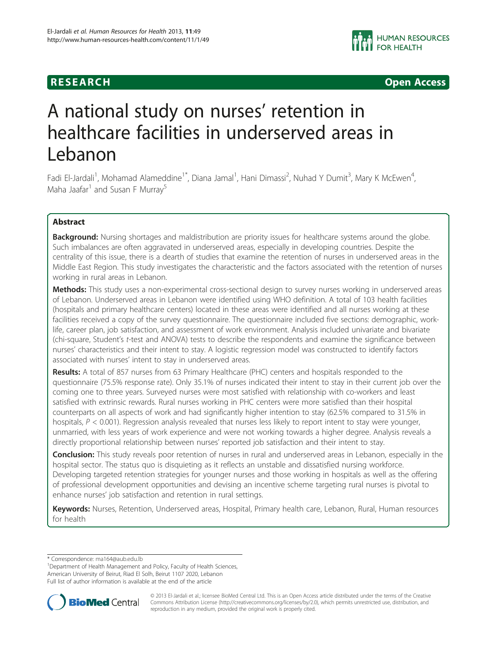**RESEARCH CHINESEARCH CHINESEARCH** 

# A national study on nurses' retention in healthcare facilities in underserved areas in Lebanon

Fadi El-Jardali<sup>1</sup>, Mohamad Alameddine<sup>1\*</sup>, Diana Jamal<sup>1</sup>, Hani Dimassi<sup>2</sup>, Nuhad Y Dumit<sup>3</sup>, Mary K McEwen<sup>4</sup> , Maha Jaafar<sup>1</sup> and Susan F Murray<sup>5</sup>

# Abstract

**Background:** Nursing shortages and maldistribution are priority issues for healthcare systems around the globe. Such imbalances are often aggravated in underserved areas, especially in developing countries. Despite the centrality of this issue, there is a dearth of studies that examine the retention of nurses in underserved areas in the Middle East Region. This study investigates the characteristic and the factors associated with the retention of nurses working in rural areas in Lebanon.

Methods: This study uses a non-experimental cross-sectional design to survey nurses working in underserved areas of Lebanon. Underserved areas in Lebanon were identified using WHO definition. A total of 103 health facilities (hospitals and primary healthcare centers) located in these areas were identified and all nurses working at these facilities received a copy of the survey questionnaire. The questionnaire included five sections: demographic, worklife, career plan, job satisfaction, and assessment of work environment. Analysis included univariate and bivariate (chi-square, Student's t-test and ANOVA) tests to describe the respondents and examine the significance between nurses' characteristics and their intent to stay. A logistic regression model was constructed to identify factors associated with nurses' intent to stay in underserved areas.

Results: A total of 857 nurses from 63 Primary Healthcare (PHC) centers and hospitals responded to the questionnaire (75.5% response rate). Only 35.1% of nurses indicated their intent to stay in their current job over the coming one to three years. Surveyed nurses were most satisfied with relationship with co-workers and least satisfied with extrinsic rewards. Rural nurses working in PHC centers were more satisfied than their hospital counterparts on all aspects of work and had significantly higher intention to stay (62.5% compared to 31.5% in hospitals,  $P < 0.001$ ). Regression analysis revealed that nurses less likely to report intent to stay were younger, unmarried, with less years of work experience and were not working towards a higher degree. Analysis reveals a directly proportional relationship between nurses' reported job satisfaction and their intent to stay.

Conclusion: This study reveals poor retention of nurses in rural and underserved areas in Lebanon, especially in the hospital sector. The status quo is disquieting as it reflects an unstable and dissatisfied nursing workforce. Developing targeted retention strategies for younger nurses and those working in hospitals as well as the offering of professional development opportunities and devising an incentive scheme targeting rural nurses is pivotal to enhance nurses' job satisfaction and retention in rural settings.

Keywords: Nurses, Retention, Underserved areas, Hospital, Primary health care, Lebanon, Rural, Human resources for health

\* Correspondence: [ma164@aub.edu.lb](mailto:ma164@aub.edu.lb) <sup>1</sup>

<sup>1</sup>Department of Health Management and Policy, Faculty of Health Sciences, American University of Beirut, Riad El Solh, Beirut 1107 2020, Lebanon Full list of author information is available at the end of the article



© 2013 El-Jardali et al.; licensee BioMed Central Ltd. This is an Open Access article distributed under the terms of the Creative Commons Attribution License [\(http://creativecommons.org/licenses/by/2.0\)](http://creativecommons.org/licenses/by/2.0), which permits unrestricted use, distribution, and reproduction in any medium, provided the original work is properly cited.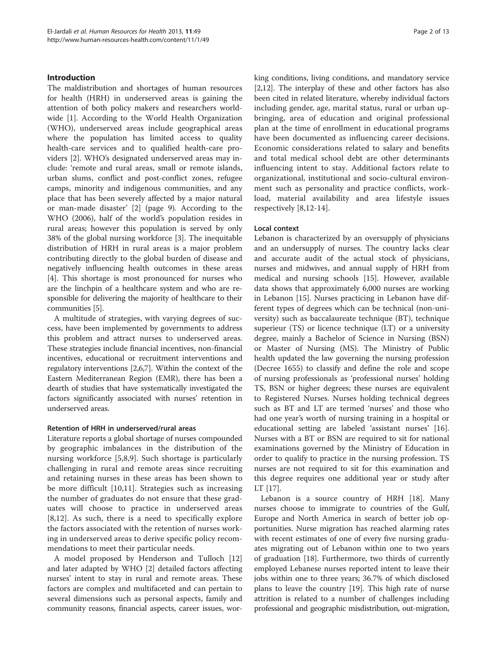# Introduction

The maldistribution and shortages of human resources for health (HRH) in underserved areas is gaining the attention of both policy makers and researchers worldwide [\[1](#page-11-0)]. According to the World Health Organization (WHO), underserved areas include geographical areas where the population has limited access to quality health-care services and to qualified health-care providers [\[2](#page-11-0)]. WHO's designated underserved areas may include: 'remote and rural areas, small or remote islands, urban slums, conflict and post-conflict zones, refugee camps, minority and indigenous communities, and any place that has been severely affected by a major natural or man-made disaster' [\[2](#page-11-0)] (page 9). According to the WHO (2006), half of the world's population resides in rural areas; however this population is served by only 38% of the global nursing workforce [[3\]](#page-11-0). The inequitable distribution of HRH in rural areas is a major problem contributing directly to the global burden of disease and negatively influencing health outcomes in these areas [[4\]](#page-11-0). This shortage is most pronounced for nurses who are the linchpin of a healthcare system and who are responsible for delivering the majority of healthcare to their communities [[5](#page-11-0)].

A multitude of strategies, with varying degrees of success, have been implemented by governments to address this problem and attract nurses to underserved areas. These strategies include financial incentives, non-financial incentives, educational or recruitment interventions and regulatory interventions [\[2,6,7](#page-11-0)]. Within the context of the Eastern Mediterranean Region (EMR), there has been a dearth of studies that have systematically investigated the factors significantly associated with nurses' retention in underserved areas.

# Retention of HRH in underserved/rural areas

Literature reports a global shortage of nurses compounded by geographic imbalances in the distribution of the nursing workforce [[5,8,9](#page-11-0)]. Such shortage is particularly challenging in rural and remote areas since recruiting and retaining nurses in these areas has been shown to be more difficult [[10,11](#page-11-0)]. Strategies such as increasing the number of graduates do not ensure that these graduates will choose to practice in underserved areas [[8,12](#page-11-0)]. As such, there is a need to specifically explore the factors associated with the retention of nurses working in underserved areas to derive specific policy recommendations to meet their particular needs.

A model proposed by Henderson and Tulloch [[12](#page-11-0)] and later adapted by WHO [[2](#page-11-0)] detailed factors affecting nurses' intent to stay in rural and remote areas. These factors are complex and multifaceted and can pertain to several dimensions such as personal aspects, family and community reasons, financial aspects, career issues, working conditions, living conditions, and mandatory service [[2,12](#page-11-0)]. The interplay of these and other factors has also been cited in related literature, whereby individual factors including gender, age, marital status, rural or urban upbringing, area of education and original professional plan at the time of enrollment in educational programs have been documented as influencing career decisions. Economic considerations related to salary and benefits and total medical school debt are other determinants influencing intent to stay. Additional factors relate to organizational, institutional and socio-cultural environment such as personality and practice conflicts, workload, material availability and area lifestyle issues respectively [\[8](#page-11-0),[12-14](#page-11-0)].

# Local context

Lebanon is characterized by an oversupply of physicians and an undersupply of nurses. The country lacks clear and accurate audit of the actual stock of physicians, nurses and midwives, and annual supply of HRH from medical and nursing schools [[15\]](#page-11-0). However, available data shows that approximately 6,000 nurses are working in Lebanon [\[15\]](#page-11-0). Nurses practicing in Lebanon have different types of degrees which can be technical (non-university) such as baccalaureate technique (BT), technique superieur (TS) or licence technique (LT) or a university degree, mainly a Bachelor of Science in Nursing (BSN) or Master of Nursing (MS). The Ministry of Public health updated the law governing the nursing profession (Decree 1655) to classify and define the role and scope of nursing professionals as 'professional nurses' holding TS, BSN or higher degrees; these nurses are equivalent to Registered Nurses. Nurses holding technical degrees such as BT and LT are termed 'nurses' and those who had one year's worth of nursing training in a hospital or educational setting are labeled 'assistant nurses' [\[16](#page-11-0)]. Nurses with a BT or BSN are required to sit for national examinations governed by the Ministry of Education in order to qualify to practice in the nursing profession. TS nurses are not required to sit for this examination and this degree requires one additional year or study after LT [\[17\]](#page-11-0).

Lebanon is a source country of HRH [[18\]](#page-11-0). Many nurses choose to immigrate to countries of the Gulf, Europe and North America in search of better job opportunities. Nurse migration has reached alarming rates with recent estimates of one of every five nursing graduates migrating out of Lebanon within one to two years of graduation [\[18\]](#page-11-0). Furthermore, two thirds of currently employed Lebanese nurses reported intent to leave their jobs within one to three years; 36.7% of which disclosed plans to leave the country [[19\]](#page-11-0). This high rate of nurse attrition is related to a number of challenges including professional and geographic misdistribution, out-migration,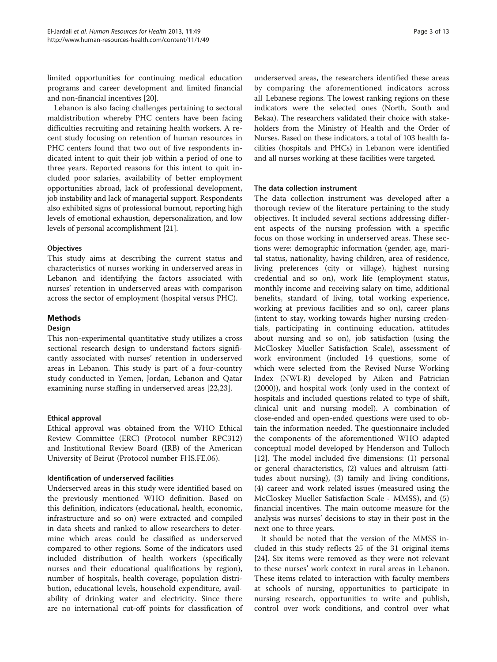limited opportunities for continuing medical education programs and career development and limited financial and non-financial incentives [\[20\]](#page-11-0).

Lebanon is also facing challenges pertaining to sectoral maldistribution whereby PHC centers have been facing difficulties recruiting and retaining health workers. A recent study focusing on retention of human resources in PHC centers found that two out of five respondents indicated intent to quit their job within a period of one to three years. Reported reasons for this intent to quit included poor salaries, availability of better employment opportunities abroad, lack of professional development, job instability and lack of managerial support. Respondents also exhibited signs of professional burnout, reporting high levels of emotional exhaustion, depersonalization, and low levels of personal accomplishment [[21](#page-11-0)].

# **Objectives**

This study aims at describing the current status and characteristics of nurses working in underserved areas in Lebanon and identifying the factors associated with nurses' retention in underserved areas with comparison across the sector of employment (hospital versus PHC).

# Methods

# Design

This non-experimental quantitative study utilizes a cross sectional research design to understand factors significantly associated with nurses' retention in underserved areas in Lebanon. This study is part of a four-country study conducted in Yemen, Jordan, Lebanon and Qatar examining nurse staffing in underserved areas [\[22,23](#page-11-0)].

# Ethical approval

Ethical approval was obtained from the WHO Ethical Review Committee (ERC) (Protocol number RPC312) and Institutional Review Board (IRB) of the American University of Beirut (Protocol number FHS.FE.06).

### Identification of underserved facilities

Underserved areas in this study were identified based on the previously mentioned WHO definition. Based on this definition, indicators (educational, health, economic, infrastructure and so on) were extracted and compiled in data sheets and ranked to allow researchers to determine which areas could be classified as underserved compared to other regions. Some of the indicators used included distribution of health workers (specifically nurses and their educational qualifications by region), number of hospitals, health coverage, population distribution, educational levels, household expenditure, availability of drinking water and electricity. Since there are no international cut-off points for classification of

underserved areas, the researchers identified these areas by comparing the aforementioned indicators across all Lebanese regions. The lowest ranking regions on these indicators were the selected ones (North, South and Bekaa). The researchers validated their choice with stakeholders from the Ministry of Health and the Order of Nurses. Based on these indicators, a total of 103 health facilities (hospitals and PHCs) in Lebanon were identified and all nurses working at these facilities were targeted.

# The data collection instrument

The data collection instrument was developed after a thorough review of the literature pertaining to the study objectives. It included several sections addressing different aspects of the nursing profession with a specific focus on those working in underserved areas. These sections were: demographic information (gender, age, marital status, nationality, having children, area of residence, living preferences (city or village), highest nursing credential and so on), work life (employment status, monthly income and receiving salary on time, additional benefits, standard of living, total working experience, working at previous facilities and so on), career plans (intent to stay, working towards higher nursing credentials, participating in continuing education, attitudes about nursing and so on), job satisfaction (using the McCloskey Mueller Satisfaction Scale), assessment of work environment (included 14 questions, some of which were selected from the Revised Nurse Working Index (NWI-R) developed by Aiken and Patrician (2000)), and hospital work (only used in the context of hospitals and included questions related to type of shift, clinical unit and nursing model). A combination of close-ended and open-ended questions were used to obtain the information needed. The questionnaire included the components of the aforementioned WHO adapted conceptual model developed by Henderson and Tulloch [[12\]](#page-11-0). The model included five dimensions: (1) personal or general characteristics, (2) values and altruism (attitudes about nursing), (3) family and living conditions, (4) career and work related issues (measured using the McCloskey Mueller Satisfaction Scale - MMSS), and (5) financial incentives. The main outcome measure for the analysis was nurses' decisions to stay in their post in the next one to three years.

It should be noted that the version of the MMSS included in this study reflects 25 of the 31 original items [[24\]](#page-11-0). Six items were removed as they were not relevant to these nurses' work context in rural areas in Lebanon. These items related to interaction with faculty members at schools of nursing, opportunities to participate in nursing research, opportunities to write and publish, control over work conditions, and control over what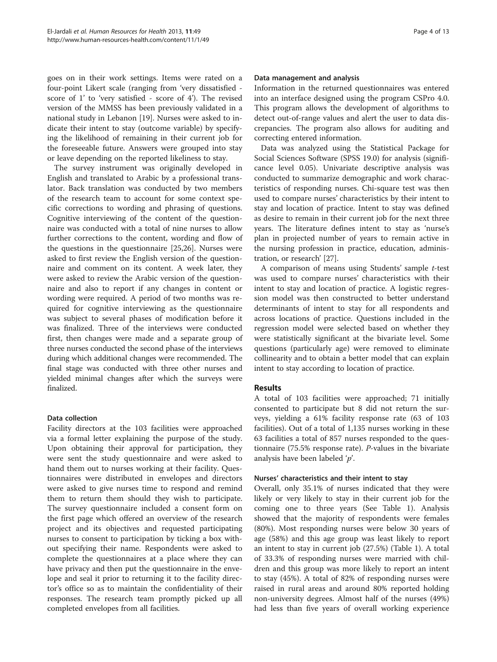goes on in their work settings. Items were rated on a four-point Likert scale (ranging from 'very dissatisfied score of 1' to 'very satisfied - score of 4'). The revised version of the MMSS has been previously validated in a national study in Lebanon [\[19\]](#page-11-0). Nurses were asked to indicate their intent to stay (outcome variable) by specifying the likelihood of remaining in their current job for the foreseeable future. Answers were grouped into stay or leave depending on the reported likeliness to stay.

The survey instrument was originally developed in English and translated to Arabic by a professional translator. Back translation was conducted by two members of the research team to account for some context specific corrections to wording and phrasing of questions. Cognitive interviewing of the content of the questionnaire was conducted with a total of nine nurses to allow further corrections to the content, wording and flow of the questions in the questionnaire [[25,26](#page-11-0)]. Nurses were asked to first review the English version of the questionnaire and comment on its content. A week later, they were asked to review the Arabic version of the questionnaire and also to report if any changes in content or wording were required. A period of two months was required for cognitive interviewing as the questionnaire was subject to several phases of modification before it was finalized. Three of the interviews were conducted first, then changes were made and a separate group of three nurses conducted the second phase of the interviews during which additional changes were recommended. The final stage was conducted with three other nurses and yielded minimal changes after which the surveys were finalized.

# Data collection

Facility directors at the 103 facilities were approached via a formal letter explaining the purpose of the study. Upon obtaining their approval for participation, they were sent the study questionnaire and were asked to hand them out to nurses working at their facility. Questionnaires were distributed in envelopes and directors were asked to give nurses time to respond and remind them to return them should they wish to participate. The survey questionnaire included a consent form on the first page which offered an overview of the research project and its objectives and requested participating nurses to consent to participation by ticking a box without specifying their name. Respondents were asked to complete the questionnaires at a place where they can have privacy and then put the questionnaire in the envelope and seal it prior to returning it to the facility director's office so as to maintain the confidentiality of their responses. The research team promptly picked up all completed envelopes from all facilities.

#### Data management and analysis

Information in the returned questionnaires was entered into an interface designed using the program CSPro 4.0. This program allows the development of algorithms to detect out-of-range values and alert the user to data discrepancies. The program also allows for auditing and correcting entered information.

Data was analyzed using the Statistical Package for Social Sciences Software (SPSS 19.0) for analysis (significance level 0.05). Univariate descriptive analysis was conducted to summarize demographic and work characteristics of responding nurses. Chi-square test was then used to compare nurses' characteristics by their intent to stay and location of practice. Intent to stay was defined as desire to remain in their current job for the next three years. The literature defines intent to stay as 'nurse's plan in projected number of years to remain active in the nursing profession in practice, education, administration, or research' [[27\]](#page-12-0).

A comparison of means using Students' sample t-test was used to compare nurses' characteristics with their intent to stay and location of practice. A logistic regression model was then constructed to better understand determinants of intent to stay for all respondents and across locations of practice. Questions included in the regression model were selected based on whether they were statistically significant at the bivariate level. Some questions (particularly age) were removed to eliminate collinearity and to obtain a better model that can explain intent to stay according to location of practice.

### Results

A total of 103 facilities were approached; 71 initially consented to participate but 8 did not return the surveys, yielding a 61% facility response rate (63 of 103 facilities). Out of a total of 1,135 nurses working in these 63 facilities a total of 857 nurses responded to the questionnaire (75.5% response rate). P-values in the bivariate analysis have been labeled 'p'.

### Nurses' characteristics and their intent to stay

Overall, only 35.1% of nurses indicated that they were likely or very likely to stay in their current job for the coming one to three years (See Table [1](#page-4-0)). Analysis showed that the majority of respondents were females (80%). Most responding nurses were below 30 years of age (58%) and this age group was least likely to report an intent to stay in current job (27.5%) (Table [1\)](#page-4-0). A total of 33.3% of responding nurses were married with children and this group was more likely to report an intent to stay (45%). A total of 82% of responding nurses were raised in rural areas and around 80% reported holding non-university degrees. Almost half of the nurses (49%) had less than five years of overall working experience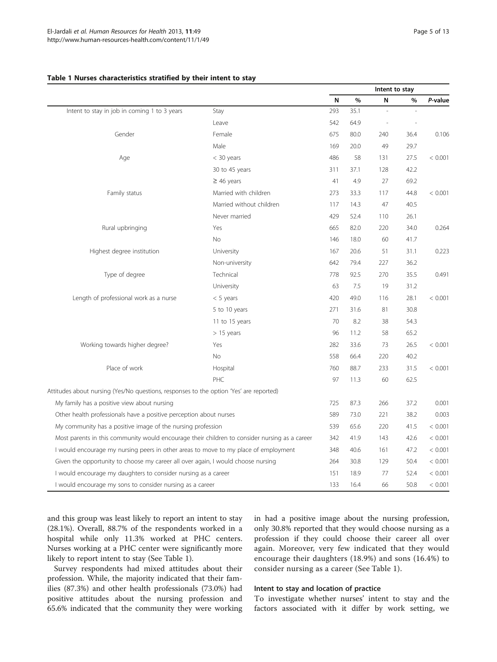#### <span id="page-4-0"></span>Table 1 Nurses characteristics stratified by their intent to stay

|                                                                                               |                          | Intent to stay |      |     |        |         |
|-----------------------------------------------------------------------------------------------|--------------------------|----------------|------|-----|--------|---------|
|                                                                                               |                          | N              | $\%$ | N   | %      | P-value |
| Intent to stay in job in coming 1 to 3 years                                                  | Stay                     | 293            | 35.1 | ÷,  | $\sim$ |         |
|                                                                                               | Leave                    | 542            | 64.9 | ÷,  |        |         |
| Gender                                                                                        | Female                   | 675            | 80.0 | 240 | 36.4   | 0.106   |
|                                                                                               | Male                     | 169            | 20.0 | 49  | 29.7   |         |
| Age                                                                                           | $<$ 30 years             | 486            | 58   | 131 | 27.5   | < 0.001 |
|                                                                                               | 30 to 45 years           | 311            | 37.1 | 128 | 42.2   |         |
|                                                                                               | $\geq$ 46 years          | 41             | 4.9  | 27  | 69.2   |         |
| Family status                                                                                 | Married with children    | 273            | 33.3 | 117 | 44.8   | < 0.001 |
|                                                                                               | Married without children | 117            | 14.3 | 47  | 40.5   |         |
|                                                                                               | Never married            | 429            | 52.4 | 110 | 26.1   |         |
| Rural upbringing                                                                              | Yes                      | 665            | 82.0 | 220 | 34.0   | 0.264   |
|                                                                                               | <b>No</b>                | 146            | 18.0 | 60  | 41.7   |         |
| Highest degree institution                                                                    | University               | 167            | 20.6 | 51  | 31.1   | 0.223   |
|                                                                                               | Non-university           | 642            | 79.4 | 227 | 36.2   |         |
| Type of degree                                                                                | Technical                | 778            | 92.5 | 270 | 35.5   | 0.491   |
|                                                                                               | University               | 63             | 7.5  | 19  | 31.2   |         |
| Length of professional work as a nurse                                                        | $< 5$ years              | 420            | 49.0 | 116 | 28.1   | < 0.001 |
|                                                                                               | 5 to 10 years            | 271            | 31.6 | 81  | 30.8   |         |
|                                                                                               | 11 to 15 years           | 70             | 8.2  | 38  | 54.3   |         |
|                                                                                               | $> 15$ years             | 96             | 11.2 | 58  | 65.2   |         |
| Working towards higher degree?                                                                | Yes                      | 282            | 33.6 | 73  | 26.5   | < 0.001 |
|                                                                                               | No                       | 558            | 66.4 | 220 | 40.2   |         |
| Place of work                                                                                 | Hospital                 | 760            | 88.7 | 233 | 31.5   | < 0.001 |
|                                                                                               | PHC                      | 97             | 11.3 | 60  | 62.5   |         |
| Attitudes about nursing (Yes/No questions, responses to the option 'Yes' are reported)        |                          |                |      |     |        |         |
| My family has a positive view about nursing                                                   |                          | 725            | 87.3 | 266 | 37.2   | 0.001   |
| Other health professionals have a positive perception about nurses                            |                          | 589            | 73.0 | 221 | 38.2   | 0.003   |
| My community has a positive image of the nursing profession                                   |                          | 539            | 65.6 | 220 | 41.5   | < 0.001 |
| Most parents in this community would encourage their children to consider nursing as a career |                          | 342            | 41.9 | 143 | 42.6   | < 0.001 |
| I would encourage my nursing peers in other areas to move to my place of employment           |                          | 348            | 40.6 | 161 | 47.2   | < 0.001 |
| Given the opportunity to choose my career all over again, I would choose nursing              |                          | 264            | 30.8 | 129 | 50.4   | < 0.001 |
| I would encourage my daughters to consider nursing as a career                                |                          | 151            | 18.9 | 77  | 52.4   | < 0.001 |
| I would encourage my sons to consider nursing as a career                                     |                          |                | 16.4 | 66  | 50.8   | < 0.001 |

and this group was least likely to report an intent to stay (28.1%). Overall, 88.7% of the respondents worked in a hospital while only 11.3% worked at PHC centers. Nurses working at a PHC center were significantly more likely to report intent to stay (See Table 1).

in had a positive image about the nursing profession, only 30.8% reported that they would choose nursing as a profession if they could choose their career all over again. Moreover, very few indicated that they would encourage their daughters (18.9%) and sons (16.4%) to consider nursing as a career (See Table 1).

Survey respondents had mixed attitudes about their profession. While, the majority indicated that their families (87.3%) and other health professionals (73.0%) had positive attitudes about the nursing profession and 65.6% indicated that the community they were working

#### Intent to stay and location of practice

To investigate whether nurses' intent to stay and the factors associated with it differ by work setting, we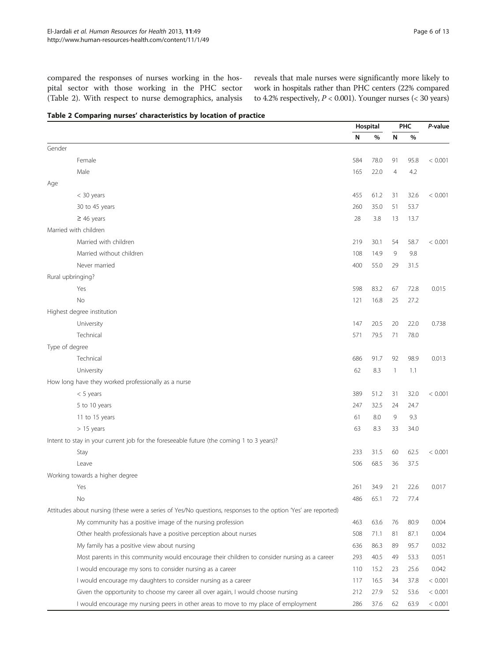<span id="page-5-0"></span>compared the responses of nurses working in the hospital sector with those working in the PHC sector (Table 2). With respect to nurse demographics, analysis reveals that male nurses were significantly more likely to work in hospitals rather than PHC centers (22% compared to 4.2% respectively,  $P < 0.001$ ). Younger nurses (< 30 years)

| Table 2 Comparing nurses' characteristics by location of practice |  |  |
|-------------------------------------------------------------------|--|--|
|-------------------------------------------------------------------|--|--|

|                                                                                                               | Hospital |      |                | <b>PHC</b> | P-value |
|---------------------------------------------------------------------------------------------------------------|----------|------|----------------|------------|---------|
|                                                                                                               | N        | %    | N              | %          |         |
| Gender                                                                                                        |          |      |                |            |         |
| Female                                                                                                        | 584      | 78.0 | 91             | 95.8       | < 0.001 |
| Male                                                                                                          | 165      | 22.0 | $\overline{4}$ | 4.2        |         |
| Age                                                                                                           |          |      |                |            |         |
| < 30 years                                                                                                    | 455      | 61.2 | 31             | 32.6       | < 0.001 |
| 30 to 45 years                                                                                                | 260      | 35.0 | 51             | 53.7       |         |
| $\geq$ 46 years                                                                                               | 28       | 3.8  | 13             | 13.7       |         |
| Married with children                                                                                         |          |      |                |            |         |
| Married with children                                                                                         | 219      | 30.1 | 54             | 58.7       | < 0.001 |
| Married without children                                                                                      | 108      | 14.9 | 9              | 9.8        |         |
| Never married                                                                                                 | 400      | 55.0 | 29             | 31.5       |         |
| Rural upbringing?                                                                                             |          |      |                |            |         |
| Yes                                                                                                           | 598      | 83.2 | 67             | 72.8       | 0.015   |
| <b>No</b>                                                                                                     | 121      | 16.8 | 25             | 27.2       |         |
| Highest degree institution                                                                                    |          |      |                |            |         |
| University                                                                                                    | 147      | 20.5 | 20             | 22.0       | 0.738   |
| Technical                                                                                                     | 571      | 79.5 | 71             | 78.0       |         |
| Type of degree                                                                                                |          |      |                |            |         |
| Technical                                                                                                     | 686      | 91.7 | 92             | 98.9       | 0.013   |
| University                                                                                                    | 62       | 8.3  | $\mathbf{1}$   | 1.1        |         |
| How long have they worked professionally as a nurse                                                           |          |      |                |            |         |
| $< 5$ years                                                                                                   | 389      | 51.2 | 31             | 32.0       | < 0.001 |
| 5 to 10 years                                                                                                 | 247      | 32.5 | 24             | 24.7       |         |
| 11 to 15 years                                                                                                | 61       | 8.0  | 9              | 9.3        |         |
| $> 15$ years                                                                                                  | 63       | 8.3  | 33             | 34.0       |         |
| Intent to stay in your current job for the foreseeable future (the coming 1 to 3 years)?                      |          |      |                |            |         |
| Stay                                                                                                          | 233      | 31.5 | 60             | 62.5       | < 0.001 |
| Leave                                                                                                         | 506      | 68.5 | 36             | 37.5       |         |
| Working towards a higher degree                                                                               |          |      |                |            |         |
| Yes                                                                                                           | 261      | 34.9 | 21             | 22.6       | 0.017   |
| No                                                                                                            | 486      | 65.1 | 72             | 77.4       |         |
| Attitudes about nursing (these were a series of Yes/No questions, responses to the option 'Yes' are reported) |          |      |                |            |         |
| My community has a positive image of the nursing profession                                                   | 463      | 63.6 | 76             | 80.9       | 0.004   |
| Other health professionals have a positive perception about nurses                                            | 508      | 71.1 | 81             | 87.1       | 0.004   |
| My family has a positive view about nursing                                                                   | 636      | 86.3 | 89             | 95.7       | 0.032   |
| Most parents in this community would encourage their children to consider nursing as a career                 | 293      | 40.5 | 49             | 53.3       | 0.051   |
| I would encourage my sons to consider nursing as a career                                                     | 110      | 15.2 | 23             | 25.6       | 0.042   |
| I would encourage my daughters to consider nursing as a career                                                | 117      | 16.5 | 34             | 37.8       | < 0.001 |
| Given the opportunity to choose my career all over again, I would choose nursing                              | 212      | 27.9 | 52             | 53.6       | < 0.001 |
| I would encourage my nursing peers in other areas to move to my place of employment                           | 286      | 37.6 | 62             | 63.9       | < 0.001 |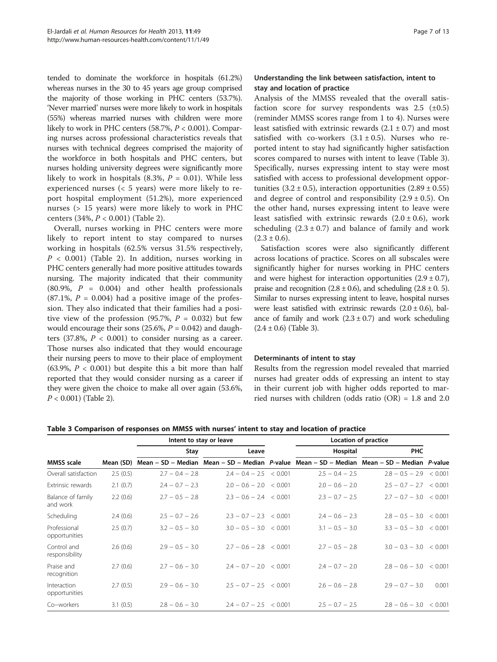tended to dominate the workforce in hospitals (61.2%) whereas nurses in the 30 to 45 years age group comprised the majority of those working in PHC centers (53.7%). 'Never married' nurses were more likely to work in hospitals (55%) whereas married nurses with children were more likely to work in PHC centers  $(58.7\%, P < 0.001)$ . Comparing nurses across professional characteristics reveals that nurses with technical degrees comprised the majority of the workforce in both hospitals and PHC centers, but nurses holding university degrees were significantly more likely to work in hospitals  $(8.3\%, P = 0.01)$ . While less experienced nurses (< 5 years) were more likely to report hospital employment (51.2%), more experienced nurses (> 15 years) were more likely to work in PHC centers (34%, P < 0.001) (Table [2](#page-5-0)).

Overall, nurses working in PHC centers were more likely to report intent to stay compared to nurses working in hospitals (62.5% versus 31.5% respectively,  $P < 0.001$ ) (Table [2\)](#page-5-0). In addition, nurses working in PHC centers generally had more positive attitudes towards nursing. The majority indicated that their community  $(80.9\%, P = 0.004)$  and other health professionals  $(87.1\%, P = 0.004)$  had a positive image of the profession. They also indicated that their families had a positive view of the profession (95.7%,  $P = 0.032$ ) but few would encourage their sons (25.6%,  $P = 0.042$ ) and daughters (37.8%,  $P < 0.001$ ) to consider nursing as a career. Those nurses also indicated that they would encourage their nursing peers to move to their place of employment (63.9%,  $P < 0.001$ ) but despite this a bit more than half reported that they would consider nursing as a career if they were given the choice to make all over again (53.6%,  $P < 0.001$ ) (Table [2](#page-5-0)).

# Understanding the link between satisfaction, intent to stay and location of practice

Analysis of the MMSS revealed that the overall satisfaction score for survey respondents was  $2.5$  ( $\pm 0.5$ ) (reminder MMSS scores range from 1 to 4). Nurses were least satisfied with extrinsic rewards  $(2.1 \pm 0.7)$  and most satisfied with co-workers  $(3.1 \pm 0.5)$ . Nurses who reported intent to stay had significantly higher satisfaction scores compared to nurses with intent to leave (Table 3). Specifically, nurses expressing intent to stay were most satisfied with access to professional development opportunities  $(3.2 \pm 0.5)$ , interaction opportunities  $(2.89 \pm 0.55)$ and degree of control and responsibility  $(2.9 \pm 0.5)$ . On the other hand, nurses expressing intent to leave were least satisfied with extrinsic rewards  $(2.0 \pm 0.6)$ , work scheduling  $(2.3 \pm 0.7)$  and balance of family and work  $(2.3 \pm 0.6).$ 

Satisfaction scores were also significantly different across locations of practice. Scores on all subscales were significantly higher for nurses working in PHC centers and were highest for interaction opportunities  $(2.9 \pm 0.7)$ , praise and recognition  $(2.8 \pm 0.6)$ , and scheduling  $(2.8 \pm 0.5)$ . Similar to nurses expressing intent to leave, hospital nurses were least satisfied with extrinsic rewards  $(2.0 \pm 0.6)$ , balance of family and work  $(2.3 \pm 0.7)$  and work scheduling  $(2.4 \pm 0.6)$  (Table 3).

### Determinants of intent to stay

Results from the regression model revealed that married nurses had greater odds of expressing an intent to stay in their current job with higher odds reported to married nurses with children (odds ratio (OR) = 1.8 and 2.0

|                               |           |                   | Intent to stay or leave   | Location of practice                                                                        |                           |       |
|-------------------------------|-----------|-------------------|---------------------------|---------------------------------------------------------------------------------------------|---------------------------|-------|
|                               |           | Stay              | Leave                     | Hospital                                                                                    | <b>PHC</b>                |       |
| <b>MMSS</b> scale             | Mean (SD) |                   |                           | Mean – SD – Median Mean – SD – Median P-value Mean – SD – Median Mean – SD – Median P-value |                           |       |
| Overall satisfaction          | 2.5(0.5)  | $2.7 - 0.4 - 2.8$ | $2.4 - 0.4 - 2.5 < 0.001$ | $2.5 - 0.4 - 2.5$                                                                           | $2.8 - 0.5 - 2.9 < 0.001$ |       |
| Extrinsic rewards             | 2.1(0.7)  | $2.4 - 0.7 - 2.3$ | $2.0 - 0.6 - 2.0 < 0.001$ | $2.0 - 0.6 - 2.0$                                                                           | $2.5 - 0.7 - 2.7 < 0.001$ |       |
| Balance of family<br>and work | 2.2(0.6)  | $2.7 - 0.5 - 2.8$ | $2.3 - 0.6 - 2.4 < 0.001$ | $2.3 - 0.7 - 2.5$                                                                           | $2.7 - 0.7 - 3.0 < 0.001$ |       |
| Scheduling                    | 2.4(0.6)  | $2.5 - 0.7 - 2.6$ | $2.3 - 0.7 - 2.3 < 0.001$ | $2.4 - 0.6 - 2.3$                                                                           | $2.8 - 0.5 - 3.0 < 0.001$ |       |
| Professional<br>opportunities | 2.5(0.7)  | $3.2 - 0.5 - 3.0$ | $3.0 - 0.5 - 3.0 < 0.001$ | $3.1 - 0.5 - 3.0$                                                                           | $3.3 - 0.5 - 3.0 < 0.001$ |       |
| Control and<br>responsibility | 2.6(0.6)  | $2.9 - 0.5 - 3.0$ | $2.7 - 0.6 - 2.8 < 0.001$ | $2.7 - 0.5 - 2.8$                                                                           | $3.0 - 0.3 - 3.0 < 0.001$ |       |
| Praise and<br>recognition     | 2.7(0.6)  | $2.7 - 0.6 - 3.0$ | $2.4 - 0.7 - 2.0 < 0.001$ | $2.4 - 0.7 - 2.0$                                                                           | $2.8 - 0.6 - 3.0 < 0.001$ |       |
| Interaction<br>opportunities  | 2.7(0.5)  | $2.9 - 0.6 - 3.0$ | $2.5 - 0.7 - 2.5 < 0.001$ | $2.6 - 0.6 - 2.8$                                                                           | $2.9 - 0.7 - 3.0$         | 0.001 |
| Co-workers                    | 3.1(0.5)  | $2.8 - 0.6 - 3.0$ | $2.4 - 0.7 - 2.5 < 0.001$ | $2.5 - 0.7 - 2.5$                                                                           | $2.8 - 0.6 - 3.0 < 0.001$ |       |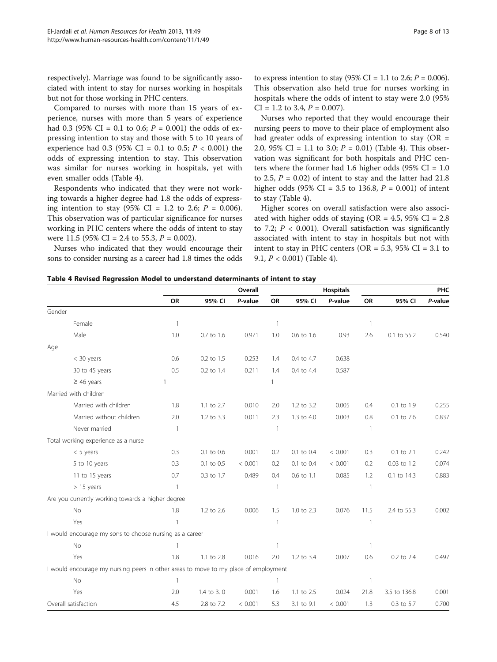Compared to nurses with more than 15 years of experience, nurses with more than 5 years of experience had 0.3 (95% CI = 0.1 to 0.6;  $P = 0.001$ ) the odds of expressing intention to stay and those with 5 to 10 years of experience had 0.3 (95% CI = 0.1 to 0.5;  $P < 0.001$ ) the odds of expressing intention to stay. This observation was similar for nurses working in hospitals, yet with even smaller odds (Table 4).

Respondents who indicated that they were not working towards a higher degree had 1.8 the odds of expressing intention to stay  $(95\% \text{ CI} = 1.2 \text{ to } 2.6; P = 0.006).$ This observation was of particular significance for nurses working in PHC centers where the odds of intent to stay were 11.5 (95% CI = 2.4 to 55.3,  $P = 0.002$ ).

Nurses who indicated that they would encourage their sons to consider nursing as a career had 1.8 times the odds

to express intention to stay (95% CI = 1.1 to 2.6;  $P = 0.006$ ). This observation also held true for nurses working in hospitals where the odds of intent to stay were 2.0 (95%  $CI = 1.2$  to 3.4,  $P = 0.007$ ).

Nurses who reported that they would encourage their nursing peers to move to their place of employment also had greater odds of expressing intention to stay  $(OR =$ 2.0, 95% CI = 1.1 to 3.0;  $P = 0.01$ ) (Table 4). This observation was significant for both hospitals and PHC centers where the former had 1.6 higher odds (95%  $CI = 1.0$ to 2.5,  $P = 0.02$ ) of intent to stay and the latter had 21.8 higher odds (95% CI = 3.5 to 136.8,  $P = 0.001$ ) of intent to stay (Table 4).

Higher scores on overall satisfaction were also associated with higher odds of staying (OR =  $4.5$ ,  $95\%$  CI =  $2.8$ ) to 7.2;  $P < 0.001$ ). Overall satisfaction was significantly associated with intent to stay in hospitals but not with intent to stay in PHC centers ( $OR = 5.3$ ,  $95\%$  CI = 3.1 to 9.1, P < 0.001) (Table 4).

|  | Table 4 Revised Regression Model to understand determinants of intent to stay |
|--|-------------------------------------------------------------------------------|
|--|-------------------------------------------------------------------------------|

|                                                                                     | Overall      |            |         | <b>Hospitals</b> |            |         | PHC            |              |         |
|-------------------------------------------------------------------------------------|--------------|------------|---------|------------------|------------|---------|----------------|--------------|---------|
|                                                                                     | OR           | 95% CI     | P-value | OR               | 95% CI     | P-value | OR             | 95% CI       | P-value |
| Gender                                                                              |              |            |         |                  |            |         |                |              |         |
| Female                                                                              | $\, 1 \,$    |            |         | $\mathbf{1}$     |            |         | $\mathbf{1}$   |              |         |
| Male                                                                                | 1.0          | 0.7 to 1.6 | 0.971   | 1.0              | 0.6 to 1.6 | 0.93    | 2.6            | 0.1 to 55.2  | 0.540   |
| Age                                                                                 |              |            |         |                  |            |         |                |              |         |
| $<$ 30 years                                                                        | 0.6          | 0.2 to 1.5 | 0.253   | 1.4              | 0.4 to 4.7 | 0.638   |                |              |         |
| 30 to 45 years                                                                      | 0.5          | 0.2 to 1.4 | 0.211   | 1.4              | 0.4 to 4.4 | 0.587   |                |              |         |
| $\geq$ 46 years                                                                     | 1            |            |         | 1                |            |         |                |              |         |
| Married with children                                                               |              |            |         |                  |            |         |                |              |         |
| Married with children                                                               | 1.8          | 1.1 to 2.7 | 0.010   | 2.0              | 1.2 to 3.2 | 0.005   | 0.4            | 0.1 to 1.9   | 0.255   |
| Married without children                                                            | 2.0          | 1.2 to 3.3 | 0.011   | 2.3              | 1.3 to 4.0 | 0.003   | 0.8            | 0.1 to 7.6   | 0.837   |
| Never married                                                                       | 1            |            |         | $\mathbf{1}$     |            |         | $\overline{1}$ |              |         |
| Total working experience as a nurse                                                 |              |            |         |                  |            |         |                |              |         |
| $< 5$ years                                                                         | 0.3          | 0.1 to 0.6 | 0.001   | 0.2              | 0.1 to 0.4 | < 0.001 | 0.3            | 0.1 to 2.1   | 0.242   |
| 5 to 10 years                                                                       | 0.3          | 0.1 to 0.5 | < 0.001 | 0.2              | 0.1 to 0.4 | < 0.001 | 0.2            | 0.03 to 1.2  | 0.074   |
| 11 to 15 years                                                                      | 0.7          | 0.3 to 1.7 | 0.489   | 0.4              | 0.6 to 1.1 | 0.085   | 1.2            | 0.1 to 14.3  | 0.883   |
| $> 15$ years                                                                        | $\mathbf{1}$ |            |         | $\mathbf{1}$     |            |         | $\overline{1}$ |              |         |
| Are you currently working towards a higher degree                                   |              |            |         |                  |            |         |                |              |         |
| No                                                                                  | 1.8          | 1.2 to 2.6 | 0.006   | 1.5              | 1.0 to 2.3 | 0.076   | 11.5           | 2.4 to 55.3  | 0.002   |
| Yes                                                                                 | $\mathbf{1}$ |            |         | 1                |            |         | $\overline{1}$ |              |         |
| I would encourage my sons to choose nursing as a career                             |              |            |         |                  |            |         |                |              |         |
| No                                                                                  | 1            |            |         | $\mathbf{1}$     |            |         | $\mathbf{1}$   |              |         |
| Yes                                                                                 | 1.8          | 1.1 to 2.8 | 0.016   | 2.0              | 1.2 to 3.4 | 0.007   | 0.6            | 0.2 to 2.4   | 0.497   |
| I would encourage my nursing peers in other areas to move to my place of employment |              |            |         |                  |            |         |                |              |         |
| No                                                                                  | $\mathbf{1}$ |            |         | $\mathbf{1}$     |            |         | $\mathbf{1}$   |              |         |
| Yes                                                                                 | 2.0          | 1.4 to 3.0 | 0.001   | 1.6              | 1.1 to 2.5 | 0.024   | 21.8           | 3.5 to 136.8 | 0.001   |
| Overall satisfaction                                                                | 4.5          | 2.8 to 7.2 | < 0.001 | 5.3              | 3.1 to 9.1 | < 0.001 | 1.3            | 0.3 to 5.7   | 0.700   |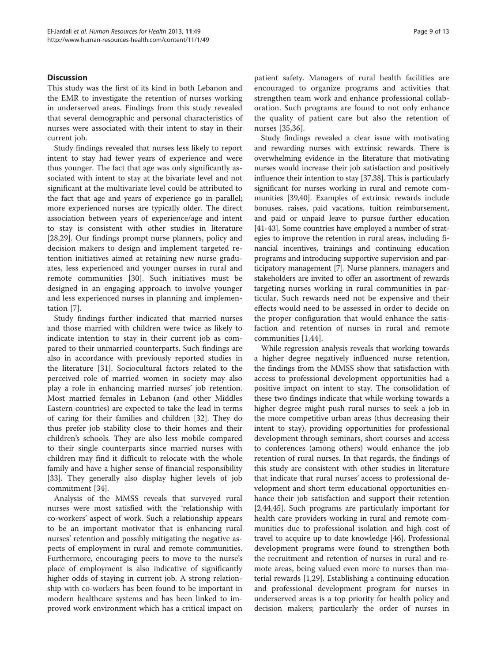# Discussion

This study was the first of its kind in both Lebanon and the EMR to investigate the retention of nurses working in underserved areas. Findings from this study revealed that several demographic and personal characteristics of nurses were associated with their intent to stay in their current job.

Study findings revealed that nurses less likely to report intent to stay had fewer years of experience and were thus younger. The fact that age was only significantly associated with intent to stay at the bivariate level and not significant at the multivariate level could be attributed to the fact that age and years of experience go in parallel; more experienced nurses are typically older. The direct association between years of experience/age and intent to stay is consistent with other studies in literature [[28,29\]](#page-12-0). Our findings prompt nurse planners, policy and decision makers to design and implement targeted retention initiatives aimed at retaining new nurse graduates, less experienced and younger nurses in rural and remote communities [\[30](#page-12-0)]. Such initiatives must be designed in an engaging approach to involve younger and less experienced nurses in planning and implementation [\[7](#page-11-0)].

Study findings further indicated that married nurses and those married with children were twice as likely to indicate intention to stay in their current job as compared to their unmarried counterparts. Such findings are also in accordance with previously reported studies in the literature [\[31\]](#page-12-0). Sociocultural factors related to the perceived role of married women in society may also play a role in enhancing married nurses' job retention. Most married females in Lebanon (and other Middles Eastern countries) are expected to take the lead in terms of caring for their families and children [\[32](#page-12-0)]. They do thus prefer job stability close to their homes and their children's schools. They are also less mobile compared to their single counterparts since married nurses with children may find it difficult to relocate with the whole family and have a higher sense of financial responsibility [[33\]](#page-12-0). They generally also display higher levels of job commitment [[34](#page-12-0)].

Analysis of the MMSS reveals that surveyed rural nurses were most satisfied with the 'relationship with co-workers' aspect of work. Such a relationship appears to be an important motivator that is enhancing rural nurses' retention and possibly mitigating the negative aspects of employment in rural and remote communities. Furthermore, encouraging peers to move to the nurse's place of employment is also indicative of significantly higher odds of staying in current job. A strong relationship with co-workers has been found to be important in modern healthcare systems and has been linked to improved work environment which has a critical impact on patient safety. Managers of rural health facilities are encouraged to organize programs and activities that strengthen team work and enhance professional collaboration. Such programs are found to not only enhance the quality of patient care but also the retention of nurses [[35,36](#page-12-0)].

Study findings revealed a clear issue with motivating and rewarding nurses with extrinsic rewards. There is overwhelming evidence in the literature that motivating nurses would increase their job satisfaction and positively influence their intention to stay [\[37,38\]](#page-12-0). This is particularly significant for nurses working in rural and remote communities [\[39,40\]](#page-12-0). Examples of extrinsic rewards include bonuses, raises, paid vacations, tuition reimbursement, and paid or unpaid leave to pursue further education [[41](#page-12-0)-[43\]](#page-12-0). Some countries have employed a number of strategies to improve the retention in rural areas, including financial incentives, trainings and continuing education programs and introducing supportive supervision and participatory management [\[7](#page-11-0)]. Nurse planners, managers and stakeholders are invited to offer an assortment of rewards targeting nurses working in rural communities in particular. Such rewards need not be expensive and their effects would need to be assessed in order to decide on the proper configuration that would enhance the satisfaction and retention of nurses in rural and remote communities [[1,](#page-11-0)[44\]](#page-12-0).

While regression analysis reveals that working towards a higher degree negatively influenced nurse retention, the findings from the MMSS show that satisfaction with access to professional development opportunities had a positive impact on intent to stay. The consolidation of these two findings indicate that while working towards a higher degree might push rural nurses to seek a job in the more competitive urban areas (thus decreasing their intent to stay), providing opportunities for professional development through seminars, short courses and access to conferences (among others) would enhance the job retention of rural nurses. In that regards, the findings of this study are consistent with other studies in literature that indicate that rural nurses' access to professional development and short term educational opportunities enhance their job satisfaction and support their retention [[2,](#page-11-0)[44,45\]](#page-12-0). Such programs are particularly important for health care providers working in rural and remote communities due to professional isolation and high cost of travel to acquire up to date knowledge [[46\]](#page-12-0). Professional development programs were found to strengthen both the recruitment and retention of nurses in rural and remote areas, being valued even more to nurses than material rewards [[1,](#page-11-0)[29\]](#page-12-0). Establishing a continuing education and professional development program for nurses in underserved areas is a top priority for health policy and decision makers; particularly the order of nurses in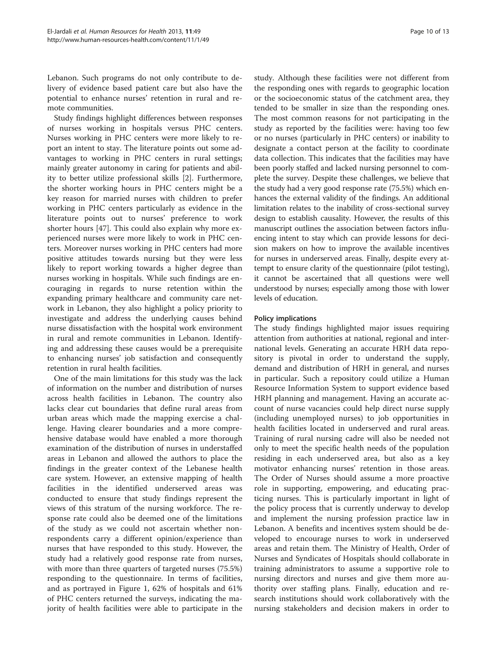Lebanon. Such programs do not only contribute to delivery of evidence based patient care but also have the potential to enhance nurses' retention in rural and remote communities.

Study findings highlight differences between responses of nurses working in hospitals versus PHC centers. Nurses working in PHC centers were more likely to report an intent to stay. The literature points out some advantages to working in PHC centers in rural settings; mainly greater autonomy in caring for patients and ability to better utilize professional skills [[2\]](#page-11-0). Furthermore, the shorter working hours in PHC centers might be a key reason for married nurses with children to prefer working in PHC centers particularly as evidence in the literature points out to nurses' preference to work shorter hours [\[47\]](#page-12-0). This could also explain why more experienced nurses were more likely to work in PHC centers. Moreover nurses working in PHC centers had more positive attitudes towards nursing but they were less likely to report working towards a higher degree than nurses working in hospitals. While such findings are encouraging in regards to nurse retention within the expanding primary healthcare and community care network in Lebanon, they also highlight a policy priority to investigate and address the underlying causes behind nurse dissatisfaction with the hospital work environment in rural and remote communities in Lebanon. Identifying and addressing these causes would be a prerequisite to enhancing nurses' job satisfaction and consequently retention in rural health facilities.

One of the main limitations for this study was the lack of information on the number and distribution of nurses across health facilities in Lebanon. The country also lacks clear cut boundaries that define rural areas from urban areas which made the mapping exercise a challenge. Having clearer boundaries and a more comprehensive database would have enabled a more thorough examination of the distribution of nurses in understaffed areas in Lebanon and allowed the authors to place the findings in the greater context of the Lebanese health care system. However, an extensive mapping of health facilities in the identified underserved areas was conducted to ensure that study findings represent the views of this stratum of the nursing workforce. The response rate could also be deemed one of the limitations of the study as we could not ascertain whether nonrespondents carry a different opinion/experience than nurses that have responded to this study. However, the study had a relatively good response rate from nurses, with more than three quarters of targeted nurses (75.5%) responding to the questionnaire. In terms of facilities, and as portrayed in Figure [1,](#page-10-0) 62% of hospitals and 61% of PHC centers returned the surveys, indicating the majority of health facilities were able to participate in the

study. Although these facilities were not different from the responding ones with regards to geographic location or the socioeconomic status of the catchment area, they tended to be smaller in size than the responding ones. The most common reasons for not participating in the study as reported by the facilities were: having too few or no nurses (particularly in PHC centers) or inability to designate a contact person at the facility to coordinate data collection. This indicates that the facilities may have been poorly staffed and lacked nursing personnel to complete the survey. Despite these challenges, we believe that the study had a very good response rate (75.5%) which enhances the external validity of the findings. An additional limitation relates to the inability of cross-sectional survey design to establish causality. However, the results of this manuscript outlines the association between factors influencing intent to stay which can provide lessons for decision makers on how to improve the available incentives for nurses in underserved areas. Finally, despite every attempt to ensure clarity of the questionnaire (pilot testing), it cannot be ascertained that all questions were well understood by nurses; especially among those with lower levels of education.

# Policy implications

The study findings highlighted major issues requiring attention from authorities at national, regional and international levels. Generating an accurate HRH data repository is pivotal in order to understand the supply, demand and distribution of HRH in general, and nurses in particular. Such a repository could utilize a Human Resource Information System to support evidence based HRH planning and management. Having an accurate account of nurse vacancies could help direct nurse supply (including unemployed nurses) to job opportunities in health facilities located in underserved and rural areas. Training of rural nursing cadre will also be needed not only to meet the specific health needs of the population residing in each underserved area, but also as a key motivator enhancing nurses' retention in those areas. The Order of Nurses should assume a more proactive role in supporting, empowering, and educating practicing nurses. This is particularly important in light of the policy process that is currently underway to develop and implement the nursing profession practice law in Lebanon. A benefits and incentives system should be developed to encourage nurses to work in underserved areas and retain them. The Ministry of Health, Order of Nurses and Syndicates of Hospitals should collaborate in training administrators to assume a supportive role to nursing directors and nurses and give them more authority over staffing plans. Finally, education and research institutions should work collaboratively with the nursing stakeholders and decision makers in order to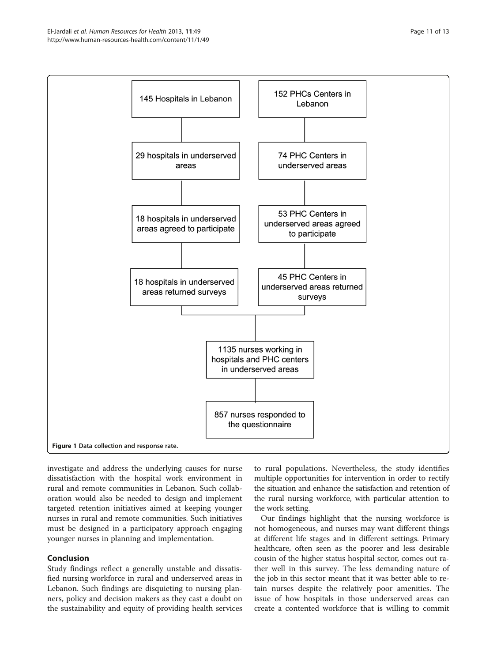<span id="page-10-0"></span>

investigate and address the underlying causes for nurse dissatisfaction with the hospital work environment in rural and remote communities in Lebanon. Such collaboration would also be needed to design and implement targeted retention initiatives aimed at keeping younger nurses in rural and remote communities. Such initiatives must be designed in a participatory approach engaging younger nurses in planning and implementation.

# Conclusion

Study findings reflect a generally unstable and dissatisfied nursing workforce in rural and underserved areas in Lebanon. Such findings are disquieting to nursing planners, policy and decision makers as they cast a doubt on the sustainability and equity of providing health services to rural populations. Nevertheless, the study identifies multiple opportunities for intervention in order to rectify the situation and enhance the satisfaction and retention of the rural nursing workforce, with particular attention to the work setting.

Our findings highlight that the nursing workforce is not homogeneous, and nurses may want different things at different life stages and in different settings. Primary healthcare, often seen as the poorer and less desirable cousin of the higher status hospital sector, comes out rather well in this survey. The less demanding nature of the job in this sector meant that it was better able to retain nurses despite the relatively poor amenities. The issue of how hospitals in those underserved areas can create a contented workforce that is willing to commit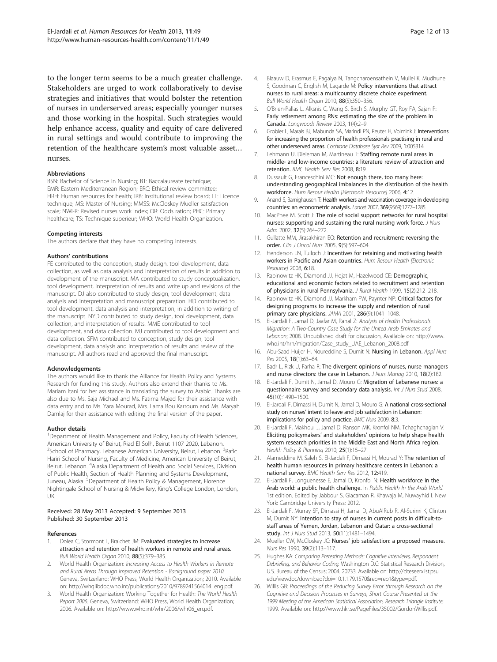<span id="page-11-0"></span>to the longer term seems to be a much greater challenge. Stakeholders are urged to work collaboratively to devise strategies and initiatives that would bolster the retention of nurses in underserved areas; especially younger nurses and those working in the hospital. Such strategies would help enhance access, quality and equity of care delivered in rural settings and would contribute to improving the retention of the healthcare system's most valuable asset… nurses.

#### Abbreviations

BSN: Bachelor of Science in Nursing; BT: Baccalaureate technique; EMR: Eastern Mediterranean Region; ERC: Ethical review committee; HRH: Human resources for health; IRB: Institutional review board; LT: Licence technique; MS: Master of Nursing; MMSS: McCloskey Mueller satisfaction scale; NWI-R: Revised nurses work index; OR: Odds ration; PHC: Primary healthcare; TS: Technique superieur; WHO: World Health Organization.

#### Competing interests

The authors declare that they have no competing interests.

#### Authors' contributions

FE contributed to the conception, study design, tool development, data collection, as well as data analysis and interpretation of results in addition to development of the manuscript. MA contributed to study conceptualization, tool development, interpretation of results and write up and revisions of the manuscript. DJ also contributed to study design, tool development, data analysis and interpretation and manuscript preparation. HD contributed to tool development, data analysis and interpretation, in addition to writing of the manuscript. NYD contributed to study design, tool development, data collection, and interpretation of results. MME contributed to tool development, and data collection. MJ contributed to tool development and data collection. SFM contributed to conception, study design, tool development, data analysis and interpretation of results and review of the manuscript. All authors read and approved the final manuscript.

#### Acknowledgements

The authors would like to thank the Alliance for Health Policy and Systems Research for funding this study. Authors also extend their thanks to Ms. Mariam Itani for her assistance in translating the survey to Arabic. Thanks are also due to Ms. Saja Michael and Ms. Fatima Majed for their assistance with data entry and to Ms. Yara Mourad, Mrs. Lama Bou Karroum and Ms. Maryah Damlaj for their assistance with editing the final version of the paper.

#### Author details

<sup>1</sup>Department of Health Management and Policy, Faculty of Health Sciences, American University of Beirut, Riad El Solh, Beirut 1107 2020, Lebanon. <sup>2</sup>School of Pharmacy, Lebanese American University, Beirut, Lebanon. <sup>3</sup>Rafic Hariri School of Nursing, Faculty of Medicine, American University of Beirut, Beirut, Lebanon. <sup>4</sup>Alaska Department of Health and Social Services, Division of Public Health, Section of Health Planning and Systems Development, Juneau, Alaska. <sup>5</sup>Department of Health Policy & Management, Florence Nightingale School of Nursing & Midwifery, King's College London, London, UK.

#### Received: 28 May 2013 Accepted: 9 September 2013 Published: 30 September 2013

#### References

- Dolea C, Stormont L, Braichet JM: Evaluated strategies to increase attraction and retention of health workers in remote and rural areas. Bull World Health Organ 2010, 88(5):379–385.
- World Health Organization: Increasing Access to Health Workers in Remote and Rural Areas Through Improved Retention - Background paper 2010. Geneva, Switzerland: WHO Press, World Health Organization; 2010. Available on: [http://whqlibdoc.who.int/publications/2010/9789241564014\\_eng.pdf.](http://whqlibdoc.who.int/publications/2010/9789241564014_eng.pdf)
- 3. World Health Organization: Working Together for Health: The World Health Report 2006. Geneva, Switzerland: WHO Press, World Health Organization; 2006. Available on: [http://www.who.int/whr/2006/whr06\\_en.pdf](http://www.who.int/whr/2006/whr06_en.pdf).
- 4. Blaauw D, Erasmus E, Pagaiya N, Tangcharoensathein V, Mullei K, Mudhune S, Goodman C, English M, Lagarde M: Policy interventions that attract nurses to rural areas: a multicountry discrete choice experiment. Bull World Health Organ 2010, 88(5):350–356.
- 5. O'Brien-Pallas L, Alksnis C, Wang S, Birch S, Murphy GT, Roy FA, Sajan P: Early retirement among RNs: estimating the size of the problem in Canada. Longwoods Review 2003, 1(4):2–9.
- 6. Grobler L, Marais BJ, Mabunda SA, Marindi PN, Reuter H, Volmink J: Interventions for increasing the proportion of health professionals practising in rural and other underserved areas. Cochrane Database Syst Rev 2009, 1:005314.
- 7. Lehmann U, Dieleman M, Martineau T: Staffing remote rural areas in middle- and low-income countries: a literature review of attraction and retention. BMC Health Serv Res 2008, 8:19.
- 8. Dussault G, Franceschini MC: Not enough there, too many here: understanding geographical imbalances in the distribution of the health workforce. Hum Resour Health [Electronic Resource] 2006, 4:12.
- 9. Anand S, Barnighausen T: Health workers and vaccination coverage in developing countries: an econometric analysis. Lancet 2007, 369(9569):1277–1285.
- 10. MacPhee M, Scott J: The role of social support networks for rural hospital nurses: supporting and sustaining the rural nursing work force. J Nurs Adm 2002, 32(5):264–272.
- 11. Gullatte MM, Jirasakhiran EQ: Retention and recruitment: reversing the order. Clin J Oncol Nurs 2005, 9(5):597–604.
- 12. Henderson LN, Tulloch J: Incentives for retaining and motivating health workers in Pacific and Asian countries. Hum Resour Health [Electronic Resource] 2008, 6:18.
- 13. Rabinowitz HK, Diamond JJ, Hojat M, Hazelwood CE: Demographic, educational and economic factors related to recruitment and retention of physicians in rural Pennsylvania. J Rural Health 1999, 15(2):212–218.
- 14. Rabinowitz HK, Diamond JJ, Markham FW, Paynter NP: Critical factors for designing programs to increase the supply and retention of rural primary care physicians. JAMA 2001, 286(9):1041–1048.
- 15. El-Jardali F, Jamal D, Jaafar M, Rahal Z: Analysis of Health Professionals Migration: A Two-Country Case Study for the United Arab Emirates and Lebanon; 2008. Unpublished draft for discussion, Available on: [http://www.](http://www.who.int/hrh/migration/Case_study_UAE_Lebanon_2008.pdf) [who.int/hrh/migration/Case\\_study\\_UAE\\_Lebanon\\_2008.pdf.](http://www.who.int/hrh/migration/Case_study_UAE_Lebanon_2008.pdf)
- 16. Abu-Saad Huijer H, Noureddine S, Dumit N: Nursing in Lebanon. Appl Nurs Res 2005, 18(1):63–64.
- 17. Badr L, Rizk U, Farha R: The divergent opinions of nurses, nurse managers and nurse directors: the case in Lebanon. J Nurs Manag 2010, 18(2):182.
- 18. El-Jardali F, Dumit N, Jamal D, Mouro G: Migration of Lebanese nurses: a questionnaire survey and secondary data analysis. Int J Nurs Stud 2008, 45(10):1490–1500.
- 19. El-Jardali F, Dimassi H, Dumit N, Jamal D, Mouro G: A national cross-sectional study on nurses' intent to leave and job satisfaction in Lebanon: implications for policy and practice. BMC Nurs 2009, 8:3.
- 20. El-Jardali F, Makhoul J, Jamal D, Ranson MK, Kronfol NM, Tchaghchagian V: Eliciting policymakers' and stakeholders' opinions to help shape health system research priorities in the Middle East and North Africa region. Health Policy & Planning 2010, 25(1):15–27.
- 21. Alameddine M, Saleh S, El-Jardali F, Dimassi H, Mourad Y: The retention of health human resources in primary healthcare centers in Lebanon: a national survey. BMC Health Serv Res 2012, 12:419.
- 22. El-Jardali F, Longuenesse E, Jamal D, Kronfol N: Health workforce in the Arab world: a public health challenge. In Public Health In the Arab World. 1st edition. Edited by Jabbour S, Giacaman R, Khawaja M, Nuwayhid I. New York: Cambridge University Press; 2012.
- 23. El-Jardali F, Murray SF, Dimassi H, Jamal D, AbuAlRub R, Al-Surimi K, Clinton M, Dumit NY: Intention to stay of nurses in current posts in difficult-tostaff areas of Yemen, Jordan, Lebanon and Qatar: a cross-sectional study. Int J Nurs Stud 2013, 50(11):1481–1494.
- 24. Mueller CW, McCloskey JC: Nurses' job satisfaction: a proposed measure. Nurs Res 1990, 39(2):113–117.
- 25. Hughes KA: Comparing Pretesting Methods: Cognitive Interviews, Respondent Debriefing, and Behavior Coding. Washington D.C: Statistical Research Division, U.S. Bureau of the Census; 2004. 20233. Available on: [http://citeseerx.ist.psu.](http://citeseerx.ist.psu.edu/viewdoc/download?doi=10.1.1.79.1570&rep=rep1&type=pdf) [edu/viewdoc/download?doi=10.1.1.79.1570&rep=rep1&type=pdf.](http://citeseerx.ist.psu.edu/viewdoc/download?doi=10.1.1.79.1570&rep=rep1&type=pdf)
- 26. Willis GB: Proceedings of the Reducing Survey Error through Research on the Cognitive and Decision Processes in Surveys, Short Course Presented at the 1999 Meeting of the American Statistical Association, Research Triangle Institute; 1999. Available on:<http://www.hkr.se/PageFiles/35002/GordonWillis.pdf>.